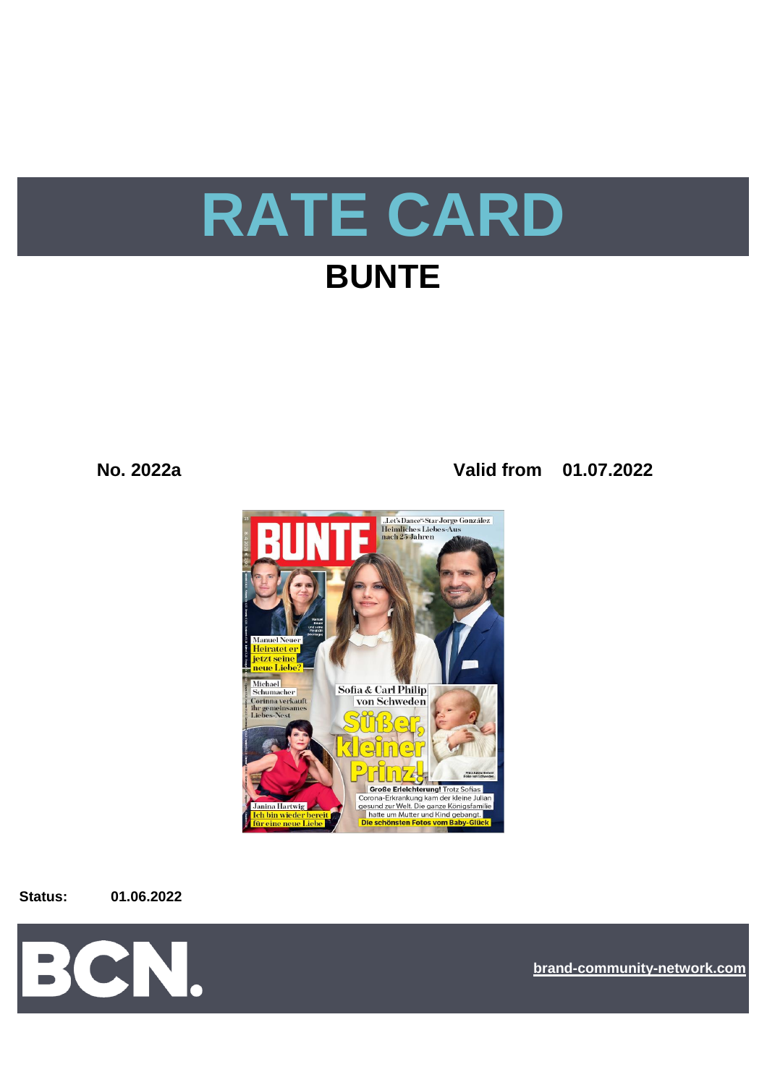

**No. 2022a Valid from 01.07.2022**



**Status: 01.06.2022**



**[bra](https://bcn.burda.com/)nd-community-network.com**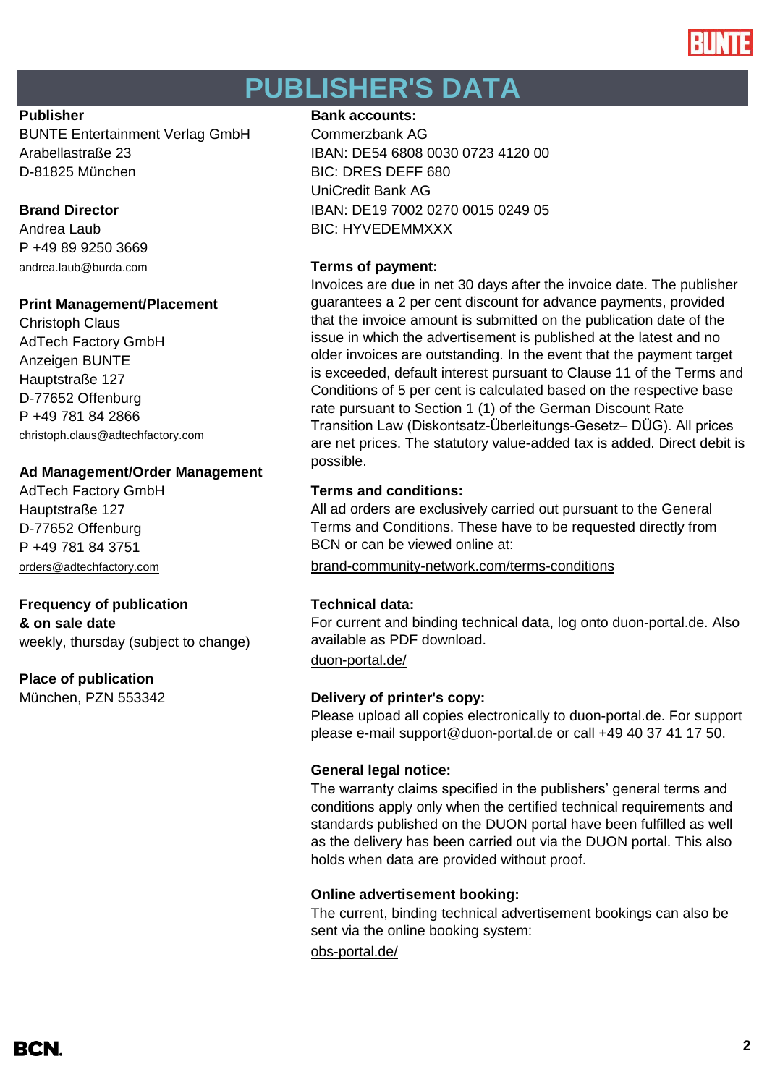

# **PUBLISHER'S DATA**

BUNTE Entertainment Verlag GmbH Commerzbank AG D-81825 München BIC: DRES DEFF 680

P +49 89 9250 3669 [andrea.laub@burda.com](mailto:andrea.laub@burda.com) **Terms of payment:**

# **Print Management/Placement**

Christoph Claus AdTech Factory GmbH Anzeigen BUNTE Hauptstraße 127 D-77652 Offenburg P +49 781 84 2866 [christoph.claus@adtechfactory.com](mailto:christoph.claus@adtechfactory.com)

# **Ad Management/Order Management**

Hauptstraße 127 D-77652 Offenburg P +49 781 84 3751

# **Frequency of publication Technical data:**

**& on sale date** weekly, thursday (subject to change)

# **Place of publication**

München, PZN 553342 **Delivery of printer's copy:**

## **Publisher Bank accounts: Bank accounts:**

Arabellastraße 23 IBAN: DE54 6808 0030 0723 4120 00 UniCredit Bank AG **Brand Director IBAN: DE19 7002 0270 0015 0249 05** Andrea Laub BIC: HYVEDEMMXXX

Invoices are due in net 30 days after the invoice date. The publisher guarantees a 2 per cent discount for advance payments, provided that the invoice amount is submitted on the publication date of the issue in which the advertisement is published at the latest and no older invoices are outstanding. In the event that the payment target is exceeded, default interest pursuant to Clause 11 of the Terms and Conditions of 5 per cent is calculated based on the respective base rate pursuant to Section 1 (1) of the German Discount Rate Transition Law (Diskontsatz-Überleitungs-Gesetz– DÜG). All prices are net prices. The statutory value-added tax is added. Direct debit is possible.

# AdTech Factory GmbH **Terms and conditions:**

All ad orders are exclusively carried out pursuant to the General Terms and Conditions. These have to be requested directly from BCN or can be viewed online at:

[orders@adtechfactory.com](mailto:orders@adtechfactory.com) [brand-community-network.com/terms-conditions](https://bcn.burda.com/terms-conditions)

[duon-portal.de/](https://duon-portal.de/) For current and binding technical data, log onto duon-portal.de. Also available as PDF download.

Please upload all copies electronically to duon-portal.de. For support please e-mail support@duon-portal.de or call +49 40 37 41 17 50.

# **General legal notice:**

The warranty claims specified in the publishers' general terms and conditions apply only when the certified technical requirements and standards published on the DUON portal have been fulfilled as well as the delivery has been carried out via the DUON portal. This also holds when data are provided without proof.

# **Online advertisement booking:**

[obs-portal.de/](https://www.obs-portal.de/) The current, binding technical advertisement bookings can also be sent via the online booking system: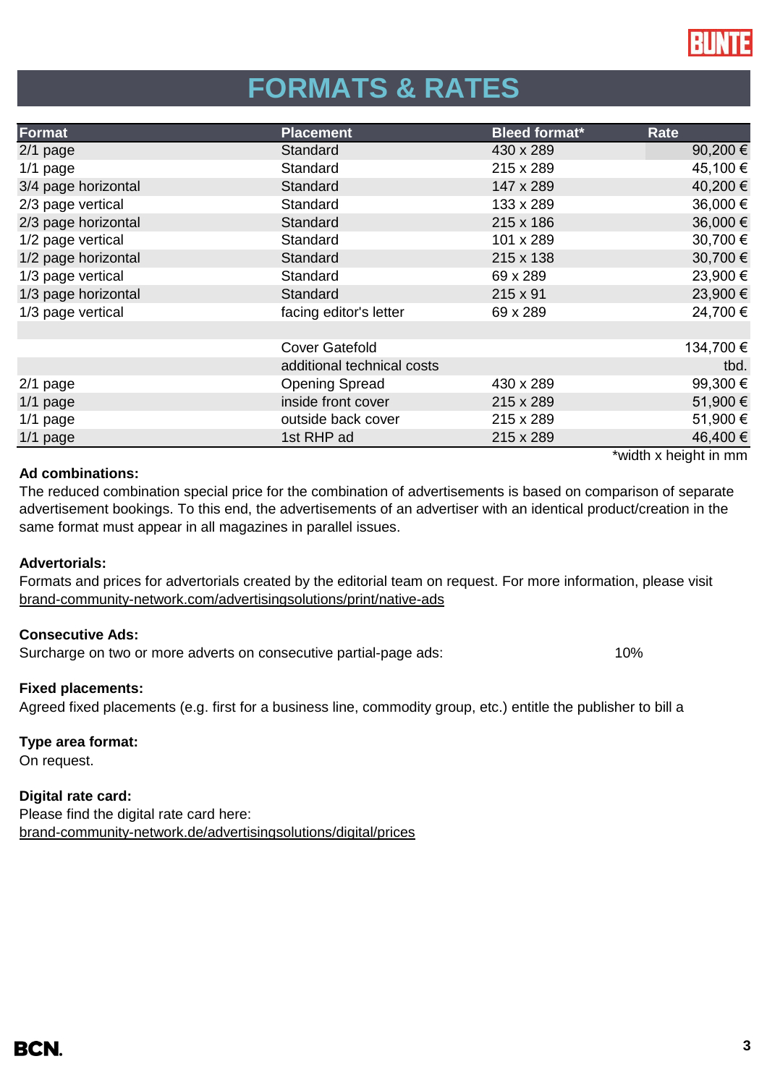

# **FORMATS & RATES**

| Format              | <b>Placement</b>           | <b>Bleed format*</b> | Rate                  |
|---------------------|----------------------------|----------------------|-----------------------|
| $2/1$ page          | Standard                   | 430 x 289            | 90,200 €              |
| $1/1$ page          | Standard                   | 215 x 289            | 45,100 €              |
| 3/4 page horizontal | Standard                   | 147 x 289            | 40,200 €              |
| 2/3 page vertical   | Standard                   | 133 x 289            | 36,000 €              |
| 2/3 page horizontal | Standard                   | 215 x 186            | 36,000 €              |
| 1/2 page vertical   | Standard                   | 101 x 289            | 30,700 €              |
| 1/2 page horizontal | Standard                   | 215 x 138            | 30,700 €              |
| 1/3 page vertical   | Standard                   | 69 x 289             | 23,900 €              |
| 1/3 page horizontal | Standard                   | 215 x 91             | 23,900 €              |
| 1/3 page vertical   | facing editor's letter     | 69 x 289             | 24,700 €              |
|                     |                            |                      |                       |
|                     | <b>Cover Gatefold</b>      |                      | 134,700 €             |
|                     | additional technical costs |                      | tbd.                  |
| $2/1$ page          | <b>Opening Spread</b>      | 430 x 289            | 99,300€               |
| $1/1$ page          | inside front cover         | 215 x 289            | 51,900€               |
| $1/1$ page          | outside back cover         | 215 x 289            | 51,900 €              |
| $1/1$ page          | 1st RHP ad                 | 215 x 289            | 46,400 €              |
|                     |                            |                      | *width x height in mm |

## **Ad combinations:**

The reduced combination special price for the combination of advertisements is based on comparison of separate advertisement bookings. To this end, the advertisements of an advertiser with an identical product/creation in the same format must appear in all magazines in parallel issues.

## **Advertorials:**

[brand-community-network.com/advertisin](https://bcn.burda.com/advertisingsolutions/print/native-ads)gsolutions/print/native-ads Formats and prices for advertorials created by the editorial team on request. For more information, please visit

## **Consecutive Ads:**

Surcharge on two or more adverts on consecutive partial-page ads: 10%

## **Fixed placements:**

Agreed fixed placements (e.g. first for a business line, commodity group, etc.) entitle the publisher to bill a

## **Type area format:**

On request.

## **Digital rate card:**

Please find the digital rate card here: [brand-community-network.de/advertisingsolutions/digital/prices](https://bcn.burda.com/advertisingsolutions/digital/prices)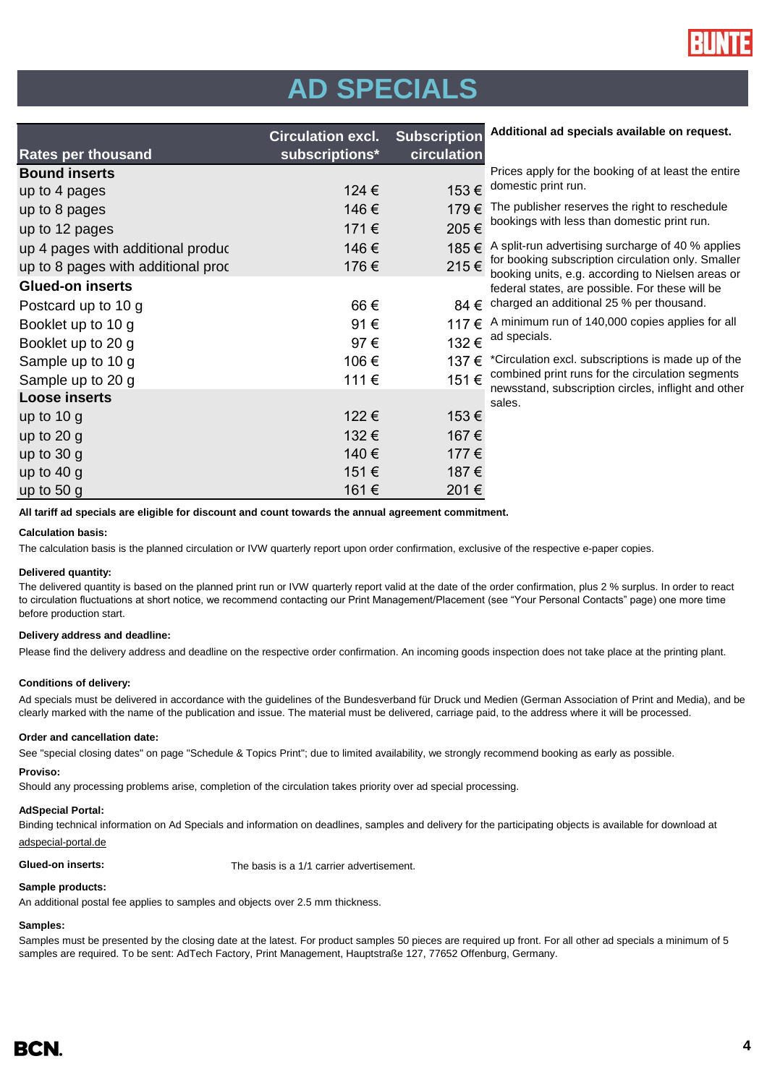

# **AD SPECIALS**

|                                    | <b>Circulation excl. Subscription</b> |                                | A            |
|------------------------------------|---------------------------------------|--------------------------------|--------------|
| <b>Rates per thousand</b>          | subscriptions*                        | circulation                    |              |
| <b>Bound inserts</b>               |                                       |                                | P            |
| up to 4 pages                      | 124 €                                 | 153 $\in$ <sup>d</sup>         |              |
| up to 8 pages                      | 146€                                  | 179€                           | $\top$       |
| up to 12 pages                     | 171€                                  | 205 $\varepsilon$ <sup>b</sup> |              |
| up 4 pages with additional produc  | 146€                                  | 185 € A                        |              |
| up to 8 pages with additional proc | 176€                                  | 215 € fo                       | $\mathsf{b}$ |
| <b>Glued-on inserts</b>            |                                       |                                | fe           |
| Postcard up to 10 g                | 66€                                   | 84 € c                         |              |
| Booklet up to 10 g                 | 91€                                   | 117 € A                        |              |
| Booklet up to 20 g                 | 97€                                   | 132 € $^{a}$                   |              |
| Sample up to 10 g                  | 106€                                  | 137 € *                        |              |
| Sample up to 20 g                  | 111€                                  | 151€                           | C<br>n       |
| <b>Loose inserts</b>               |                                       |                                | S            |
| up to $10 g$                       | 122€                                  | 153€                           |              |
| up to $20 g$                       | 132€                                  | 167€                           |              |
| up to $30g$                        | 140€                                  | 177 €                          |              |
| up to $40 g$                       | 151€                                  | 187€                           |              |
| up to $50 g$                       | 161€                                  | 201€                           |              |

**Additional ad specials available on request.**

| Prices apply for the booking of at least the entire |
|-----------------------------------------------------|
| domestic print run.                                 |
|                                                     |

The publisher reserves the right to reschedule bookings with less than domestic print run.

split-run advertising surcharge of 40 % applies

or booking subscription circulation only. Smaller booking units, e.g. according to Nielsen areas or ederal states, are possible. For these will be charged an additional 25 % per thousand.

minimum run of 140,000 copies applies for all d specials.

Circulation excl. subscriptions is made up of the combined print runs for the circulation segments newsstand, subscription circles, inflight and other sales.

**All tariff ad specials are eligible for discount and count towards the annual agreement commitment.**

### **Calculation basis:**

The calculation basis is the planned circulation or IVW quarterly report upon order confirmation, exclusive of the respective e-paper copies.

### **Delivered quantity:**

The delivered quantity is based on the planned print run or IVW quarterly report valid at the date of the order confirmation, plus 2 % surplus. In order to react to circulation fluctuations at short notice, we recommend contacting our Print Management/Placement (see "Your Personal Contacts" page) one more time before production start.

### **Delivery address and deadline:**

Please find the delivery address and deadline on the respective order confirmation. An incoming goods inspection does not take place at the printing plant.

### **Conditions of delivery:**

Ad specials must be delivered in accordance with the guidelines of the Bundesverband für Druck und Medien (German Association of Print and Media), and be clearly marked with the name of the publication and issue. The material must be delivered, carriage paid, to the address where it will be processed.

### **Order and cancellation date:**

See "special closing dates" on page "Schedule & Topics Print"; due to limited availability, we strongly recommend booking as early as possible.

### **Proviso:**

Should any processing problems arise, completion of the circulation takes priority over ad special processing.

### **AdSpecial Portal:**

Binding technical information on Ad Specials and information on deadlines, samples and delivery for the participating objects is available for download at adspecial-portal.de

**Glued-on inserts:** The basis is a 1/1 carrier advertisement.

### **Sample products:**

An additional postal fee applies to samples and objects over 2.5 mm thickness.

### **Samples:**

Samples must be presented by the closing date at the latest. For product samples 50 pieces are required up front. For all other ad specials a minimum of 5 samples are required. To be sent: AdTech Factory, Print Management, Hauptstraße 127, 77652 Offenburg, Germany.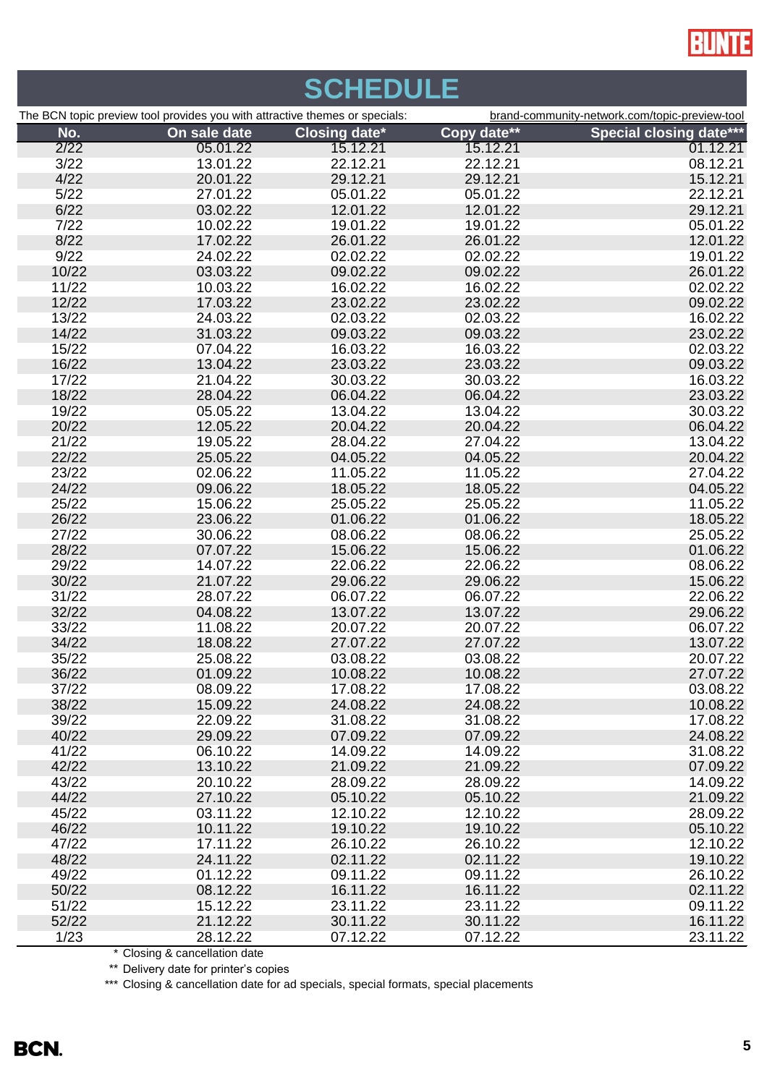

| <b>SCHEDULE</b>                                                             |                      |                      |                      |                                                |  |  |
|-----------------------------------------------------------------------------|----------------------|----------------------|----------------------|------------------------------------------------|--|--|
| The BCN topic preview tool provides you with attractive themes or specials: |                      |                      |                      | brand-community-network.com/topic-preview-tool |  |  |
| No.                                                                         | On sale date         | <b>Closing date*</b> | Copy date**          | <b>Special closing date***</b>                 |  |  |
| 2/22                                                                        | 05.01.22             | 15.12.21             | 15.12.21             | 01.12.21                                       |  |  |
| 3/22                                                                        | 13.01.22             | 22.12.21             | 22.12.21             | 08.12.21                                       |  |  |
| 4/22                                                                        | 20.01.22             | 29.12.21             | 29.12.21             | 15.12.21                                       |  |  |
| 5/22                                                                        | 27.01.22             | 05.01.22             | 05.01.22             | 22.12.21                                       |  |  |
| 6/22                                                                        | 03.02.22             | 12.01.22             | 12.01.22             | 29.12.21                                       |  |  |
| 7/22                                                                        | 10.02.22             | 19.01.22             | 19.01.22             | 05.01.22                                       |  |  |
| 8/22                                                                        | 17.02.22             | 26.01.22             | 26.01.22             | 12.01.22                                       |  |  |
| 9/22                                                                        | 24.02.22             | 02.02.22             | 02.02.22             | 19.01.22                                       |  |  |
| 10/22                                                                       | 03.03.22             | 09.02.22             | 09.02.22             | 26.01.22                                       |  |  |
| 11/22                                                                       | 10.03.22             | 16.02.22             | 16.02.22             | 02.02.22                                       |  |  |
| 12/22                                                                       | 17.03.22             | 23.02.22             | 23.02.22             | 09.02.22                                       |  |  |
| 13/22                                                                       | 24.03.22             | 02.03.22             | 02.03.22             | 16.02.22                                       |  |  |
| 14/22                                                                       | 31.03.22             | 09.03.22             | 09.03.22             | 23.02.22                                       |  |  |
| 15/22                                                                       | 07.04.22             | 16.03.22             | 16.03.22             | 02.03.22                                       |  |  |
| 16/22                                                                       | 13.04.22             | 23.03.22             | 23.03.22             | 09.03.22                                       |  |  |
| 17/22                                                                       | 21.04.22             | 30.03.22             | 30.03.22             | 16.03.22                                       |  |  |
| 18/22                                                                       | 28.04.22             | 06.04.22             | 06.04.22             | 23.03.22                                       |  |  |
| 19/22                                                                       | 05.05.22             | 13.04.22             | 13.04.22             | 30.03.22                                       |  |  |
| 20/22                                                                       | 12.05.22             | 20.04.22             | 20.04.22             | 06.04.22                                       |  |  |
| 21/22                                                                       | 19.05.22             | 28.04.22             | 27.04.22             | 13.04.22                                       |  |  |
| 22/22                                                                       | 25.05.22             | 04.05.22             | 04.05.22             | 20.04.22                                       |  |  |
| 23/22                                                                       | 02.06.22             | 11.05.22             | 11.05.22             | 27.04.22                                       |  |  |
| 24/22                                                                       | 09.06.22             | 18.05.22             | 18.05.22             | 04.05.22                                       |  |  |
| 25/22                                                                       | 15.06.22             | 25.05.22             | 25.05.22             | 11.05.22                                       |  |  |
| 26/22                                                                       | 23.06.22             | 01.06.22             | 01.06.22             | 18.05.22                                       |  |  |
| 27/22                                                                       | 30.06.22             | 08.06.22             | 08.06.22             | 25.05.22                                       |  |  |
| 28/22                                                                       | 07.07.22             | 15.06.22             | 15.06.22             | 01.06.22                                       |  |  |
| 29/22                                                                       | 14.07.22             | 22.06.22             | 22.06.22             | 08.06.22                                       |  |  |
| 30/22                                                                       | 21.07.22             | 29.06.22             | 29.06.22             | 15.06.22                                       |  |  |
| 31/22                                                                       | 28.07.22             | 06.07.22             | 06.07.22             | 22.06.22                                       |  |  |
| 32/22                                                                       | 04.08.22             | 13.07.22             | 13.07.22             | 29.06.22                                       |  |  |
| 33/22                                                                       | 11.08.22             | 20.07.22             | 20.07.22             | 06.07.22                                       |  |  |
| 34/22                                                                       | 18.08.22             | 27.07.22             | 27.07.22             | 13.07.22                                       |  |  |
| 35/22                                                                       | 25.08.22             | 03.08.22             | 03.08.22             | 20.07.22                                       |  |  |
| 36/22                                                                       | 01.09.22             | 10.08.22             | 10.08.22             | 27.07.22                                       |  |  |
| 37/22                                                                       | 08.09.22             | 17.08.22             | 17.08.22             | 03.08.22                                       |  |  |
| 38/22<br>39/22                                                              | 15.09.22             | 24.08.22             | 24.08.22             | 10.08.22                                       |  |  |
| 40/22                                                                       | 22.09.22<br>29.09.22 | 31.08.22<br>07.09.22 | 31.08.22<br>07.09.22 | 17.08.22<br>24.08.22                           |  |  |
| 41/22                                                                       | 06.10.22             | 14.09.22             | 14.09.22             | 31.08.22                                       |  |  |
| 42/22                                                                       | 13.10.22             | 21.09.22             | 21.09.22             | 07.09.22                                       |  |  |
| 43/22                                                                       | 20.10.22             | 28.09.22             | 28.09.22             | 14.09.22                                       |  |  |
| 44/22                                                                       | 27.10.22             | 05.10.22             | 05.10.22             | 21.09.22                                       |  |  |
| 45/22                                                                       | 03.11.22             | 12.10.22             | 12.10.22             | 28.09.22                                       |  |  |
| 46/22                                                                       | 10.11.22             | 19.10.22             | 19.10.22             | 05.10.22                                       |  |  |
| 47/22                                                                       | 17.11.22             | 26.10.22             | 26.10.22             | 12.10.22                                       |  |  |
| 48/22                                                                       | 24.11.22             | 02.11.22             | 02.11.22             | 19.10.22                                       |  |  |
| 49/22                                                                       | 01.12.22             | 09.11.22             | 09.11.22             | 26.10.22                                       |  |  |
| 50/22                                                                       | 08.12.22             | 16.11.22             | 16.11.22             | 02.11.22                                       |  |  |
| 51/22                                                                       | 15.12.22             | 23.11.22             | 23.11.22             | 09.11.22                                       |  |  |
| 52/22                                                                       | 21.12.22             | 30.11.22             | 30.11.22             | 16.11.22                                       |  |  |
| 1/23                                                                        | 28.12.22             | 07.12.22             | 07.12.22             | 23.11.22                                       |  |  |
|                                                                             |                      |                      |                      |                                                |  |  |

\* Closing & cancellation date

\*\* Delivery date for printer's copies

\*\*\* Closing & cancellation date for ad specials, special formats, special placements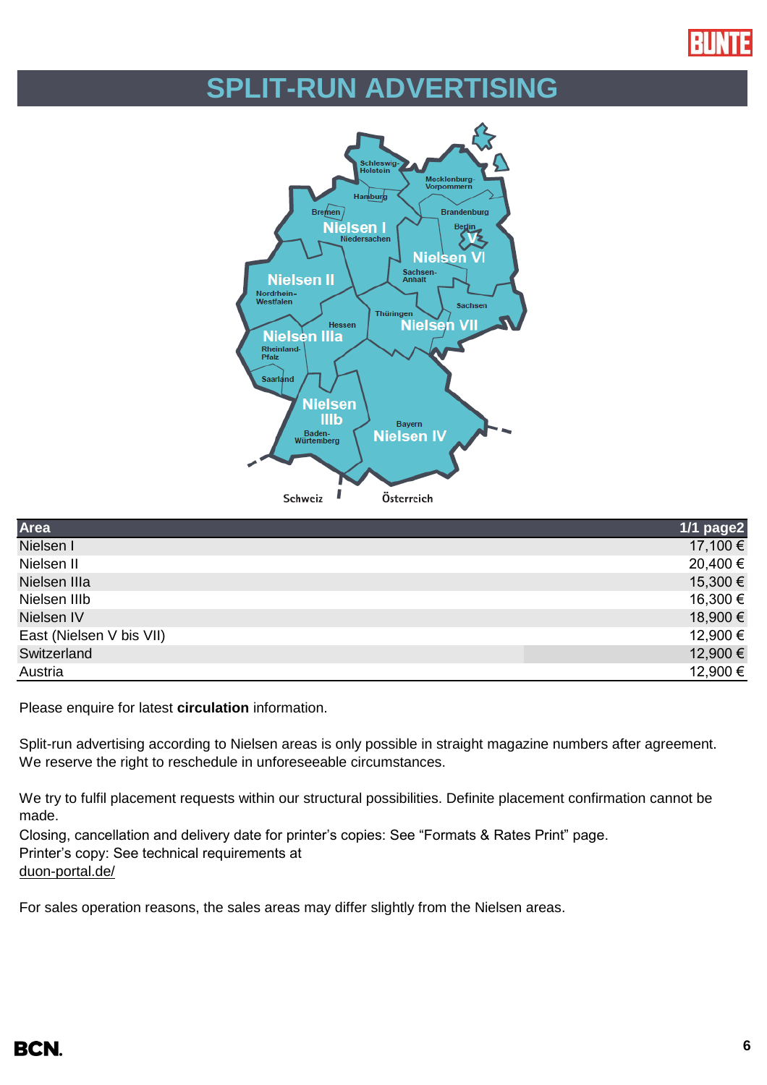

# **SPLIT-RUN ADVERTISING**



| Area                     | $1/1$ page2 |
|--------------------------|-------------|
| Nielsen I                | 17,100 €    |
| Nielsen II               | 20,400 €    |
| Nielsen IIIa             | 15,300 €    |
| Nielsen IIIb             | 16,300 €    |
| Nielsen IV               | 18,900 €    |
| East (Nielsen V bis VII) | 12,900 €    |
| Switzerland              | 12,900 €    |
| Austria                  | 12,900 €    |

Please enquire for latest **circulation** information.

Split-run advertising according to Nielsen areas is only possible in straight magazine numbers after agreement. We reserve the right to reschedule in unforeseeable circumstances.

We try to fulfil placement requests within our structural possibilities. Definite placement confirmation cannot be made.

Closing, cancellation and delivery date for printer's copies: See "Formats & Rates Print" page. Printer's copy: See technical requirements at [duon-portal.de/](https://duon-portal.de/)

For sales operation reasons, the sales areas may differ slightly from the Nielsen areas.